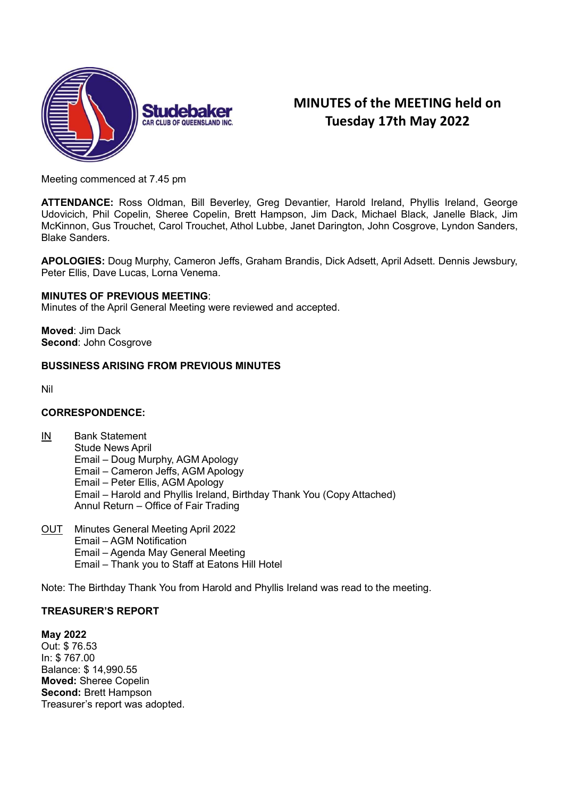

# MINUTES of the MEETING held on Tuesday 17th May 2022

Meeting commenced at 7.45 pm

ATTENDANCE: Ross Oldman, Bill Beverley, Greg Devantier, Harold Ireland, Phyllis Ireland, George Udovicich, Phil Copelin, Sheree Copelin, Brett Hampson, Jim Dack, Michael Black, Janelle Black, Jim McKinnon, Gus Trouchet, Carol Trouchet, Athol Lubbe, Janet Darington, John Cosgrove, Lyndon Sanders, Blake Sanders.

APOLOGIES: Doug Murphy, Cameron Jeffs, Graham Brandis, Dick Adsett, April Adsett. Dennis Jewsbury, Peter Ellis, Dave Lucas, Lorna Venema.

#### MINUTES OF PREVIOUS MEETING:

Minutes of the April General Meeting were reviewed and accepted.

Moved: Jim Dack Second: John Cosgrove

# BUSSINESS ARISING FROM PREVIOUS MINUTES

Nil

#### CORRESPONDENCE:

- IN Bank Statement Stude News April Email – Doug Murphy, AGM Apology Email – Cameron Jeffs, AGM Apology Email – Peter Ellis, AGM Apology Email – Harold and Phyllis Ireland, Birthday Thank You (Copy Attached) Annul Return – Office of Fair Trading
- OUT Minutes General Meeting April 2022 Email – AGM Notification Email – Agenda May General Meeting Email – Thank you to Staff at Eatons Hill Hotel

Note: The Birthday Thank You from Harold and Phyllis Ireland was read to the meeting.

# TREASURER'S REPORT

May 2022 Out: \$ 76.53 In: \$ 767.00 Balance: \$ 14,990.55 Moved: Sheree Copelin Second: Brett Hampson Treasurer's report was adopted.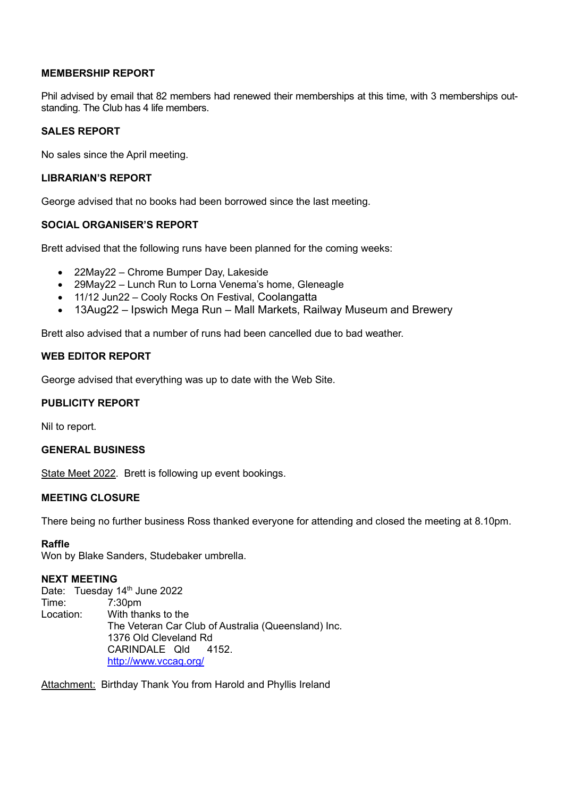# MEMBERSHIP REPORT

Phil advised by email that 82 members had renewed their memberships at this time, with 3 memberships outstanding. The Club has 4 life members.

# SALES REPORT

No sales since the April meeting.

## LIBRARIAN'S REPORT

George advised that no books had been borrowed since the last meeting.

# SOCIAL ORGANISER'S REPORT

Brett advised that the following runs have been planned for the coming weeks:

- 22May22 Chrome Bumper Day, Lakeside
- 29May22 Lunch Run to Lorna Venema's home, Gleneagle
- 11/12 Jun22 Cooly Rocks On Festival, Coolangatta
- 13Aug22 Ipswich Mega Run Mall Markets, Railway Museum and Brewery

Brett also advised that a number of runs had been cancelled due to bad weather.

# WEB EDITOR REPORT

George advised that everything was up to date with the Web Site.

## PUBLICITY REPORT

Nil to report.

#### GENERAL BUSINESS

State Meet 2022. Brett is following up event bookings.

# MEETING CLOSURE

There being no further business Ross thanked everyone for attending and closed the meeting at 8.10pm.

# Raffle

Won by Blake Sanders, Studebaker umbrella.

## NEXT MEETING

Date: Tuesday 14<sup>th</sup> June 2022 Time: 7:30pm Location: With thanks to the The Veteran Car Club of Australia (Queensland) Inc. 1376 Old Cleveland Rd CARINDALE Qld 4152. http://www.vccaq.org/

Attachment: Birthday Thank You from Harold and Phyllis Ireland